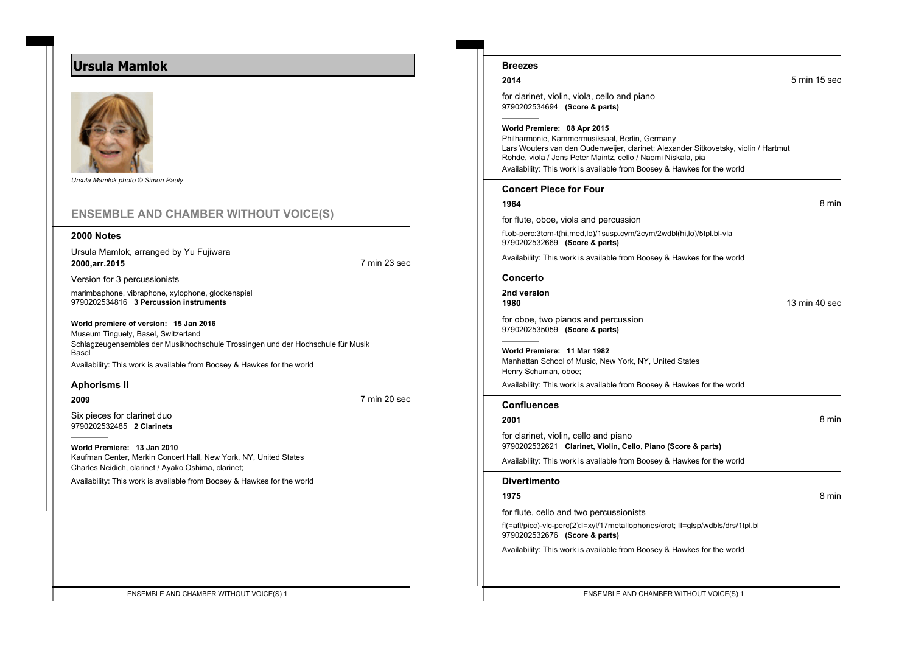# **Ursula Mamlok**



*Ursula Mamlok photo © Simon Pauly*

## **ENSEMBLE AND CHAMBER WITHOUT VOICE(S)**

### **2000 Notes**

Ursula Mamlok, arranged by Yu Fujiwara **2000,arr.2015** 7 min 23 sec

Version for 3 percussionists

marimbaphone, vibraphone, xylophone, glockenspiel 9790202534816 **3 Percussion instruments**

**World premiere of version: 15 Jan 2016** Museum Tinguely, Basel, Switzerland Schlagzeugensembles der Musikhochschule Trossingen und der Hochschule für Musik **Basel** Availability: This work is available from Boosey & Hawkes for the world

## **Aphorisms II**

**2009** 7 min 20 sec

Six pieces for clarinet duo 9790202532485 **2 Clarinets**

**World Premiere: 13 Jan 2010** Kaufman Center, Merkin Concert Hall, New York, NY, United States Charles Neidich, clarinet / Ayako Oshima, clarinet;

Availability: This work is available from Boosey & Hawkes for the world

| <b>Breezes</b>                                                                                                                                                                                                                                                                                                  |               |       |
|-----------------------------------------------------------------------------------------------------------------------------------------------------------------------------------------------------------------------------------------------------------------------------------------------------------------|---------------|-------|
| 2014                                                                                                                                                                                                                                                                                                            | 5 min 15 sec  |       |
| for clarinet, violin, viola, cello and piano<br>9790202534694 (Score & parts)                                                                                                                                                                                                                                   |               |       |
| World Premiere: 08 Apr 2015<br>Philharmonie, Kammermusiksaal, Berlin, Germany<br>Lars Wouters van den Oudenweijer, clarinet; Alexander Sitkovetsky, violin / Hartmut<br>Rohde, viola / Jens Peter Maintz, cello / Naomi Niskala, pia<br>Availability: This work is available from Boosey & Hawkes for the world |               |       |
| <b>Concert Piece for Four</b>                                                                                                                                                                                                                                                                                   |               |       |
| 1964                                                                                                                                                                                                                                                                                                            |               | 8 min |
| for flute, oboe, viola and percussion                                                                                                                                                                                                                                                                           |               |       |
| fl.ob-perc:3tom-t(hi,med,lo)/1susp.cym/2cym/2wdbl(hi,lo)/5tpl.bl-vla<br>9790202532669 (Score & parts)                                                                                                                                                                                                           |               |       |
| Availability: This work is available from Boosey & Hawkes for the world                                                                                                                                                                                                                                         |               |       |
| Concerto                                                                                                                                                                                                                                                                                                        |               |       |
| 2nd version<br>1980                                                                                                                                                                                                                                                                                             | 13 min 40 sec |       |
| for oboe, two pianos and percussion<br>9790202535059 (Score & parts)                                                                                                                                                                                                                                            |               |       |
| World Premiere: 11 Mar 1982<br>Manhattan School of Music, New York, NY, United States<br>Henry Schuman, oboe;                                                                                                                                                                                                   |               |       |
| Availability: This work is available from Boosey & Hawkes for the world                                                                                                                                                                                                                                         |               |       |
|                                                                                                                                                                                                                                                                                                                 |               |       |

#### **Confluences**

9790202532621 **Clarinet, Violin, Cello, Piano (Score & parts)** Availability: This work is available from Boosey & Hawkes for the world

**2001** 8 min

## **Divertimento**

#### **1975** 8 min

for flute, cello and two percussionists

for clarinet, violin, cello and piano

fl(=afl/picc)-vlc-perc(2):I=xyl/17metallophones/crot; II=glsp/wdbls/drs/1tpl.bl 9790202532676 **(Score & parts)**

Availability: This work is available from Boosey & Hawkes for the world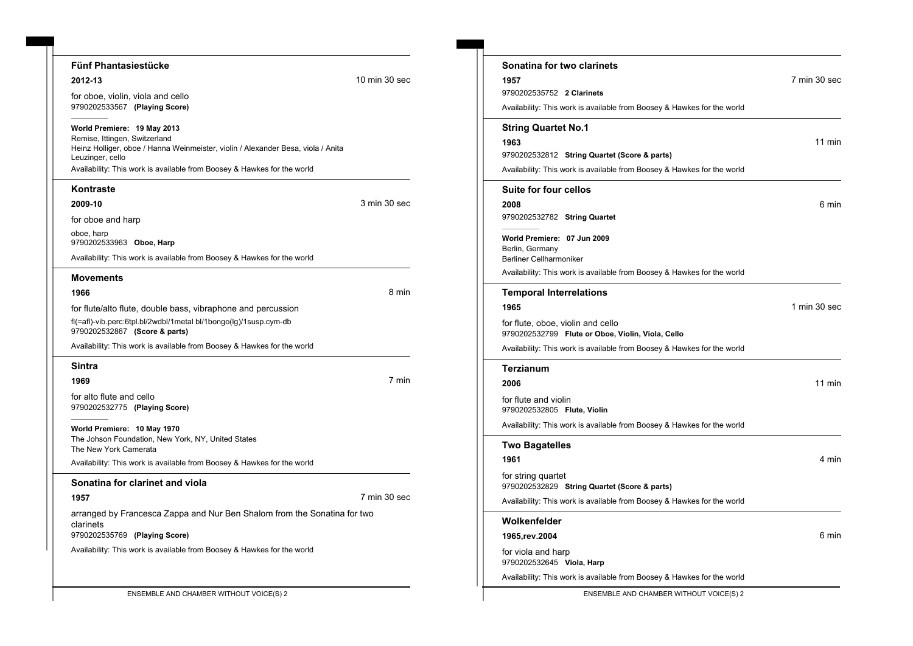#### **Fünf Phantasiestücke**

#### **World Premiere: 19 May 2013**

#### **Kontraste**

### **Movements**

Availability: This work is available from Boosey & Hawkes for the world

## **Sintra**

**1969** 7 min

for alto flute and cello 9790202532775 **(Playing Score)**

**World Premiere: 10 May 1970** The Johson Foundation, New York, NY, United States The New York Camerata

Availability: This work is available from Boosey & Hawkes for the world

## **Sonatina for clarinet and viola**

**1957** 7 min 30 sec

arranged by Francesca Zappa and Nur Ben Shalom from the Sonatina for two clarinets 9790202535769 **(Playing Score)**

Availability: This work is available from Boosey & Hawkes for the world

| Fünf Phantasiestücke                                                                                 |               | Sonatina for two clarinets                                                             |
|------------------------------------------------------------------------------------------------------|---------------|----------------------------------------------------------------------------------------|
| 2012-13                                                                                              | 10 min 30 sec | 1957                                                                                   |
| for oboe, violin, viola and cello                                                                    |               | 9790202535752 2 Clarinets                                                              |
| 9790202533567 (Playing Score)                                                                        |               | Availability: This work is available from Boosey & Hawkes for the world                |
| World Premiere: 19 May 2013                                                                          |               | <b>String Quartet No.1</b>                                                             |
| Remise, Ittingen, Switzerland                                                                        |               | 1963                                                                                   |
| Heinz Holliger, oboe / Hanna Weinmeister, violin / Alexander Besa, viola / Anita<br>Leuzinger, cello |               | 9790202532812 String Quartet (Score & parts)                                           |
| Availability: This work is available from Boosey & Hawkes for the world                              |               | Availability: This work is available from Boosey & Hawkes for the world                |
| Kontraste                                                                                            |               | Suite for four cellos                                                                  |
| 2009-10                                                                                              | 3 min 30 sec  | 2008                                                                                   |
| for oboe and harp                                                                                    |               | 9790202532782 String Quartet                                                           |
| oboe, harp                                                                                           |               | World Premiere: 07 Jun 2009                                                            |
| 9790202533963 Oboe, Harp                                                                             |               | Berlin, Germany                                                                        |
| Availability: This work is available from Boosey & Hawkes for the world                              |               | <b>Berliner Cellharmoniker</b>                                                         |
| Movements                                                                                            |               | Availability: This work is available from Boosey & Hawkes for the world                |
| 1966                                                                                                 | 8 min         | <b>Temporal Interrelations</b>                                                         |
| for flute/alto flute, double bass, vibraphone and percussion                                         |               | 1965                                                                                   |
| fl(=afl)-vib.perc:6tpl.bl/2wdbl/1metal bl/1bongo(lg)/1susp.cym-db<br>9790202532867 (Score & parts)   |               | for flute, oboe, violin and cello<br>9790202532799 Flute or Oboe, Violin, Viola, Cello |
| Availability: This work is available from Peopov & Hawkee for the world                              |               |                                                                                        |

Availability: This work is available from Boosey & Hawkes for the world **Terzianum 2006** 11 min for flute and violin 9790202532805 **Flute, Violin** Availability: This work is available from Boosey & Hawkes for the world **Two Bagatelles 1961** 4 min for string quartet 9790202532829 **String Quartet (Score & parts)** Availability: This work is available from Boosey & Hawkes for the world **Wolkenfelder 1965,rev.2004** 6 min for viola and harp

9790202532645 **Viola, Harp**

Availability: This work is available from Boosey & Hawkes for the world

ENSEMBLE AND CHAMBER WITHOUT VOICE(S) 2 ENSEMBLE AND CHAMBER WITHOUT VOICE(S) 2